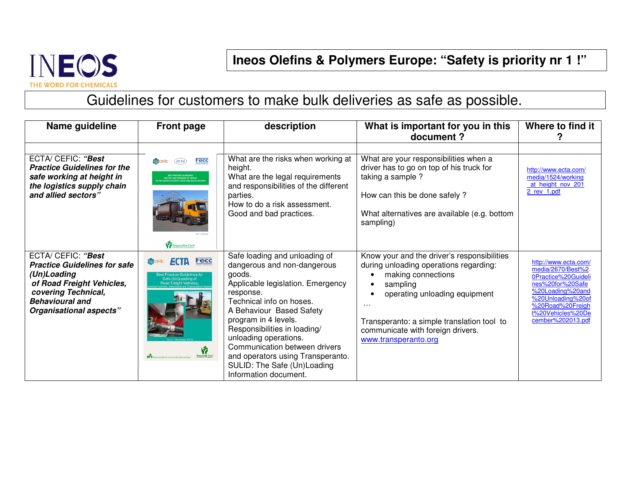

**Ineos Olefins & Polymers Europe: "Safety is priority nr 1 !"** 

Guidelines for customers to make bulk deliveries as safe as possible.

| Name guideline                                                                                                                                                                           | <b>Front page</b>                                                                           | description                                                                                                                                                                                                                                                                                                                                                                                     | What is important for you in this<br>document?                                                                                                                                                                                                                                              | Where to find it                                                                                                                                                                            |
|------------------------------------------------------------------------------------------------------------------------------------------------------------------------------------------|---------------------------------------------------------------------------------------------|-------------------------------------------------------------------------------------------------------------------------------------------------------------------------------------------------------------------------------------------------------------------------------------------------------------------------------------------------------------------------------------------------|---------------------------------------------------------------------------------------------------------------------------------------------------------------------------------------------------------------------------------------------------------------------------------------------|---------------------------------------------------------------------------------------------------------------------------------------------------------------------------------------------|
| ECTA/ CEFIC: "Best<br><b>Practice Guidelines for the</b><br>safe working at height in<br>the logistics supply chain<br>and allied sectors"                                               | Fecc<br><b>R</b> cefic<br><b>ECTA</b><br>FOR THE SAFE WORKING AT HEIGHT<br>Responsible Care | What are the risks when working at<br>height.<br>What are the legal requirements<br>and responsibilities of the different<br>parties.<br>How to do a risk assessment.<br>Good and bad practices.                                                                                                                                                                                                | What are your responsibilities when a<br>driver has to go on top of his truck for<br>taking a sample ?<br>How can this be done safely?<br>What alternatives are available (e.g. bottom<br>sampling)                                                                                         | http://www.ecta.com/<br>media/1524/working<br>at height nov 201<br>2 rev 1.pdf                                                                                                              |
| <b>ECTA/ CEFIC: "Best</b><br><b>Practice Guidelines for safe</b><br>(Un)Loading<br>of Road Freight Vehicles,<br>covering Technical,<br><b>Behavioural and</b><br>Organisational aspects" | Fecc<br>est Practice Guidelines fo<br>Safe (Un)Loading of<br>Road Freight Vehicles<br>Ŵ     | Safe loading and unloading of<br>dangerous and non-dangerous<br>goods.<br>Applicable legislation. Emergency<br>response.<br>Technical info on hoses.<br>A Behaviour Based Safety<br>program in 4 levels.<br>Responsibilities in loading/<br>unloading operations.<br>Communication between drivers<br>and operators using Transperanto.<br>SULID: The Safe (Un)Loading<br>Information document. | Know your and the driver's responsibilities<br>during unloading operations regarding:<br>making connections<br>sampling<br>operating unloading equipment<br>$\sim$ $\sim$ $\sim$<br>Transperanto: a simple translation tool to<br>communicate with foreign drivers.<br>www.transperanto.org | http://www.ecta.com/<br>media/2670/Best%2<br>0Practice%20Guideli<br>nes%20for%20Safe<br>%20Loading%20and<br>%20Unloading%20of<br>%20Road%20Freigh<br>t%20Vehicles%20De<br>cember%202013.pdf |